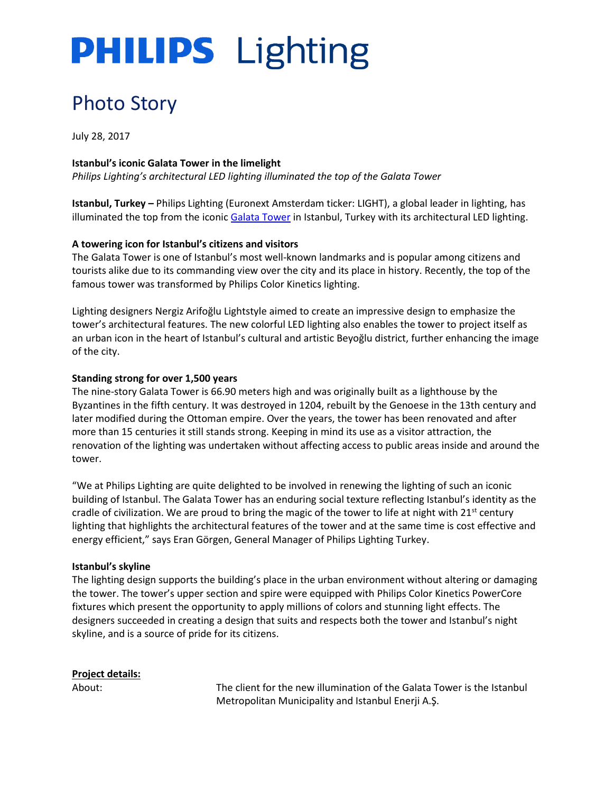# **PHILIPS** Lighting

# Photo Story

July 28, 2017

# **Istanbul's iconic Galata Tower in the limelight**

*Philips Lighting's architectural LED lighting illuminated the top of the Galata Tower* 

**Istanbul, Turkey –** Philips Lighting (Euronext Amsterdam ticker: LIGHT), a global leader in lighting, has illuminated the top from the iconic [Galata Tower](https://en.wikipedia.org/wiki/Galata_Tower) in Istanbul, Turkey with its architectural LED lighting.

### **A towering icon for Istanbul's citizens and visitors**

The Galata Tower is one of Istanbul's most well-known landmarks and is popular among citizens and tourists alike due to its commanding view over the city and its place in history. Recently, the top of the famous tower was transformed by Philips Color Kinetics lighting.

Lighting designers Nergiz Arifoğlu Lightstyle aimed to create an impressive design to emphasize the tower's architectural features. The new colorful LED lighting also enables the tower to project itself as an urban icon in the heart of Istanbul's cultural and artistic Beyoğlu district, further enhancing the image of the city.

### **Standing strong for over 1,500 years**

The nine-story Galata Tower is 66.90 meters high and was originally built as a lighthouse by the Byzantines in the fifth century. It was destroyed in 1204, rebuilt by the Genoese in the 13th century and later modified during the Ottoman empire. Over the years, the tower has been renovated and after more than 15 centuries it still stands strong. Keeping in mind its use as a visitor attraction, the renovation of the lighting was undertaken without affecting access to public areas inside and around the tower.

"We at Philips Lighting are quite delighted to be involved in renewing the lighting of such an iconic building of Istanbul. The Galata Tower has an enduring social texture reflecting Istanbul's identity as the cradle of civilization. We are proud to bring the magic of the tower to life at night with 21<sup>st</sup> century lighting that highlights the architectural features of the tower and at the same time is cost effective and energy efficient," says Eran Görgen, General Manager of Philips Lighting Turkey.

### **Istanbul's skyline**

The lighting design supports the building's place in the urban environment without altering or damaging the tower. The tower's upper section and spire were equipped with Philips Color Kinetics PowerCore fixtures which present the opportunity to apply millions of colors and stunning light effects. The designers succeeded in creating a design that suits and respects both the tower and Istanbul's night skyline, and is a source of pride for its citizens.

# **Project details:**

About: The client for the new illumination of the Galata Tower is the Istanbul Metropolitan Municipality and Istanbul Enerji A.Ş.